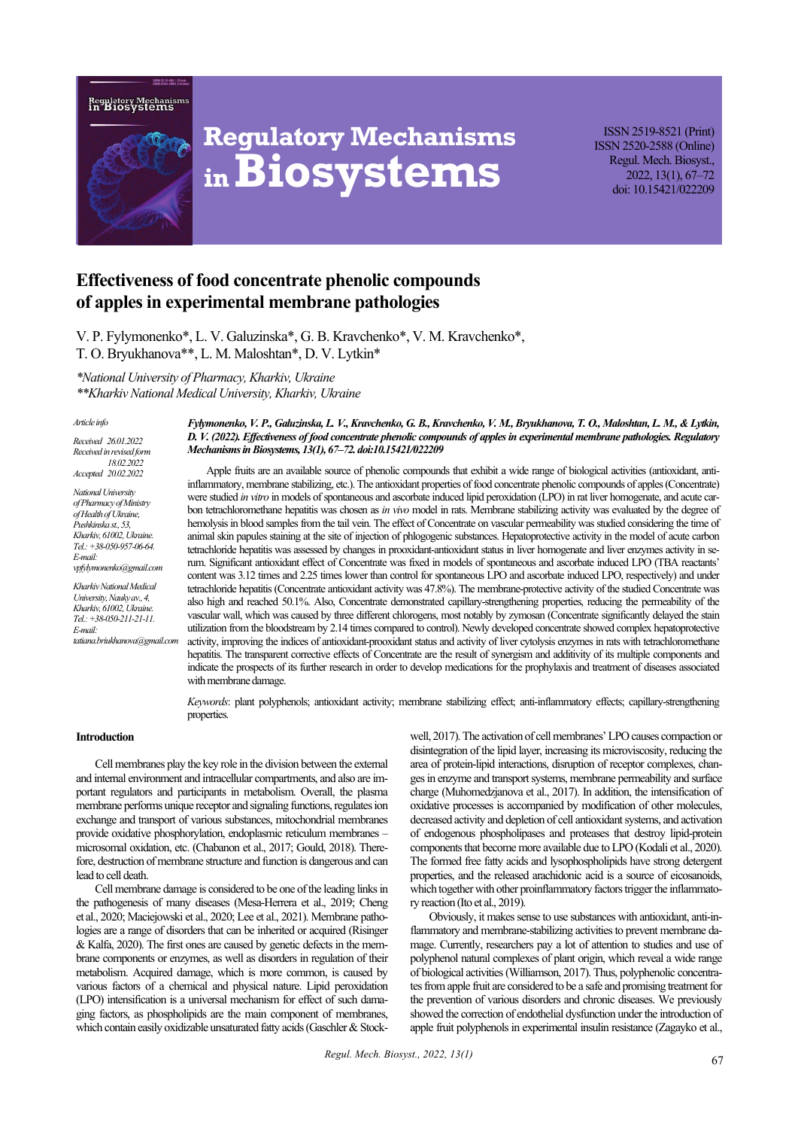



# **Regulatory Mechanisms inBiosystems**

ISSN 2519-8521 (Print) ISSN 2520-2588 (Online) Regul. Mech. Biosyst., 2022, 13(1), 67–72 doi: 10.15421/022209

# **Effectiveness of food concentrate phenolic compounds of apples in experimental membrane pathologies**

V. P. Fylymonenko\*, L. V. Galuzinska\*, G. B. Kravchenko\*, V. M. Kravchenko\*, Т. О. Bryukhanova\*\*, L. М. Мaloshtan\*, D. V. Lytkin\*

*\*National University of Pharmacy, Kharkiv, Ukraine* 

*\*\*Kharkiv National Medical University, Kharkiv, Ukraine*

#### *Article info*

*Received 26.01.2022 Received in revised form 18.02.2022 Accepted 20.02.2022*

*National University of Pharmacy of Ministry of Health of Ukraine, Pushkinska st., 53, Kharkiv, 61002, Ukraine. Tel.: +38-050-957-06-64. E-mail: vpfylymonenko@gmail.com*

*Kharkiv National Medical University, Nauky av., 4, Kharkiv, 61002, Ukraine. Tel.: +38-050-211-21-11. E-mail: tatiana.briukhanova@gmail.com* *Fylymonenko, V. P., Galuzinska, L. V., Kravchenko, G. B., Kravchenko, V. M., Bryukhanova, Т. О., Мaloshtan, L. М., & Lytkin, D. V. (2022). Effectiveness of food concentrate phenolic compounds of apples in experimental membrane pathologies. Regulatory Mechanisms in Biosystems, 13(1), 67–72. doi:10.15421/022209*

Apple fruits are an available source of phenolic compounds that exhibit a wide range of biological activities (antioxidant, antiinflammatory, membrane stabilizing, etc.). The antioxidant properties of food concentrate phenolic compounds of apples (Concentrate) were studied *in vitro* in models of spontaneous and ascorbate induced lipid peroxidation (LPO) in rat liver homogenate, and acute carbon tetrachloromethane hepatitis was chosen as *in vivo* model in rats. Membrane stabilizing activity was evaluated by the degree of hemolysis in blood samples from the tail vein. The effect of Concentrate on vascular permeability was studied considering the time of animal skin papules staining at the site of injection of phlogogenic substances. Hepatoprotective activity in the model of acute carbon tetrachloride hepatitis was assessed by changes in prooxidant-antioxidant status in liver homogenate and liver enzymes activity in serum. Significant antioxidant effect of Concentrate was fixed in models of spontaneous and ascorbate induced LPO (TBA reactants' content was 3.12 times and 2.25 times lower than control for spontaneous LPO and ascorbate induced LPO, respectively) and under tetrachloride hepatitis (Concentrate antioxidant activity was 47.8%). The membrane-protective activity of the studied Concentrate was also high and reached 50.1%. Also, Concentrate demonstrated capillary-strengthening properties, reducing the permeability of the vascular wall, which was caused by three different chlorogens, most notably by zymosan (Concentrate significantly delayed the stain utilization from the bloodstream by 2.14 times compared to control). Newly developed concentrate showed complex hepatoprotective activity, improving the indices of antioxidant-prooxidant status and activity of liver cytolysis enzymes in rats with tetrachloromethane hepatitis. The transparent corrective effects of Concentrate are the result of synergism and additivity of its multiple components and indicate the prospects of its further research in order to develop medications for the prophylaxis and treatment of diseases associated with membrane damage.

*Keywords*: plant polyphenols; antioxidant activity; membrane stabilizing effect; anti-inflammatory effects; capillary-strengthening properties.

#### **Introduction**

Cell membranes play the key role in the division between the external and internal environment and intracellular compartments, and also are important regulators and participants in metabolism. Overall, the plasma membrane performs unique receptor and signaling functions, regulates ion exchange and transport of various substances, mitochondrial membranes provide oxidative phosphorylation, endoplasmic reticulum membranes – microsomal oxidation, etc. (Chabanon et al., 2017; Gould, 2018). Therefore, destruction of membrane structure and function is dangerous and can lead to cell death.

Cell membrane damage is considered to be one of the leading links in the pathogenesis of many diseases (Mesa-Herrera et al., 2019; Cheng et al., 2020; Maciejowski et al., 2020; Lee et al., 2021). Membrane pathologies are a range of disorders that can be inherited or acquired (Risinger & Kalfa, 2020). The first ones are caused by genetic defects in the membrane components or enzymes, as well as disorders in regulation of their metabolism. Acquired damage, which is more common, is caused by various factors of a chemical and physical nature. Lipid peroxidation (LPO) intensification is a universal mechanism for effect of such damaging factors, as phospholipids are the main component of membranes, which contain easily oxidizable unsaturated fatty acids (Gaschler & Stockwell, 2017). The activation of cell membranes' LPO causes compaction or disintegration of the lipid layer, increasing its microviscosity, reducing the area of protein-lipid interactions, disruption of receptor complexes, changes in enzyme and transport systems, membrane permeability and surface charge (Muhomedzjanova et al., 2017). In addition, the intensification of oxidative processes is accompanied by modification of other molecules, decreased activity and depletion of cell antioxidant systems, and activation of endogenous phospholipases and proteases that destroy lipid-protein components that become more available due to LPO (Kodali et al., 2020). The formed free fatty acids and lysophospholipids have strong detergent properties, and the released arachidonic acid is a source of eicosanoids, which together with other proinflammatory factors trigger the inflammatory reaction (Ito et al., 2019).

Obviously, it makes sense to use substances with antioxidant, anti-inflammatory and membrane-stabilizing activities to prevent membrane damage. Currently, researchers pay a lot of attention to studies and use of polyphenol natural complexes of plant origin, which reveal a wide range of biological activities (Williamson, 2017). Thus, polyphenolic concentrates from apple fruit are considered to be a safe and promising treatment for the prevention of various disorders and chronic diseases. We previously showed the correction of endothelial dysfunction under the introduction of apple fruit polyphenols in experimental insulin resistance (Zagayko et al.,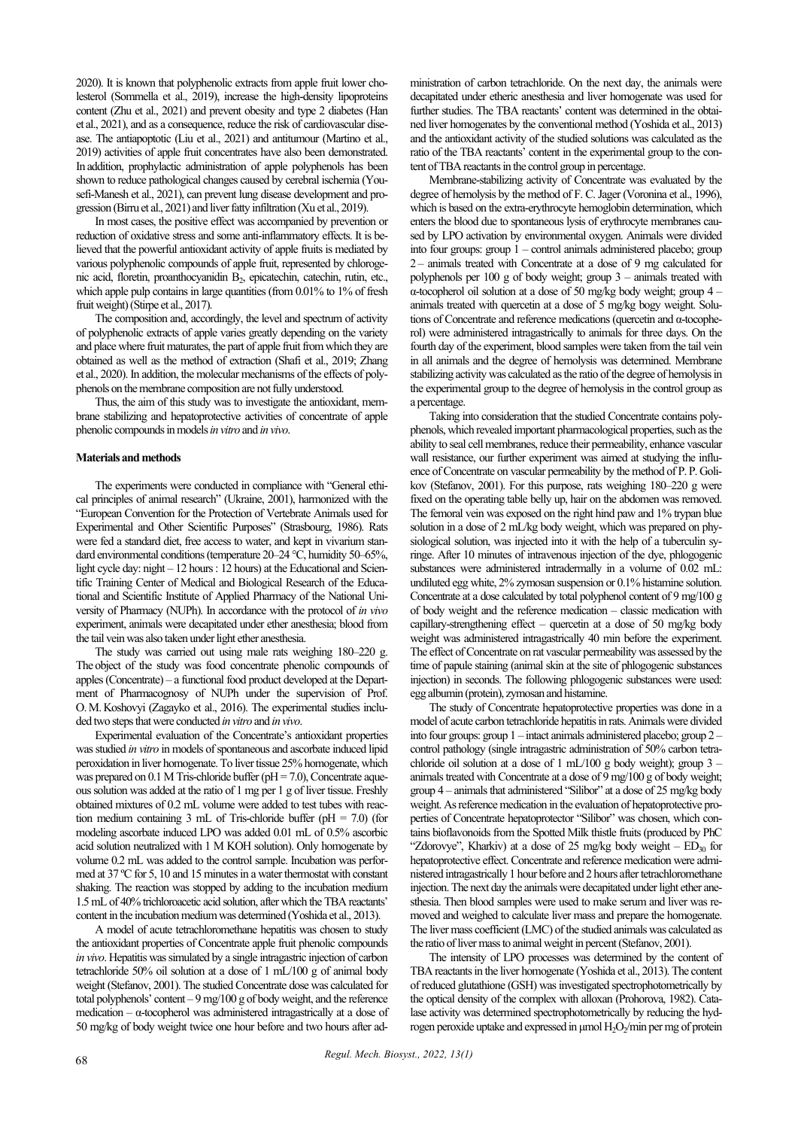2020). It is known that polyphenolic extracts from apple fruit lower cholesterol (Sommella et al., 2019), increase the high-density lipoproteins content (Zhu et al., 2021) and prevent obesity and type 2 diabetes (Han et al., 2021), and as a consequence, reduce the risk of cardiovascular disease. The antiapoptotic (Liu et al., 2021) and antitumour (Martino et al., 2019) activities of apple fruit concentrates have also been demonstrated. In addition, prophylactic administration of apple polyphenols has been shown to reduce pathological changes caused by cerebral ischemia (Yousefi-Manesh et al., 2021), can prevent lung disease development and progression (Birru et al., 2021) and liver fatty infiltration (Xu et al., 2019).

In most cases, the positive effect was accompanied by prevention or reduction of oxidative stress and some anti-inflammatory effects. It is believed that the powerful antioxidant activity of apple fruits is mediated by various polyphenolic compounds of apple fruit, represented by chlorogenic acid, floretin, proanthocyanidin B<sub>2</sub>, epicatechin, catechin, rutin, etc., which apple pulp contains in large quantities (from 0.01% to 1% of fresh fruit weight) (Stirpe et al., 2017).

The composition and, accordingly, the level and spectrum of activity of polyphenolic extracts of apple varies greatly depending on the variety and place where fruit maturates, the part of apple fruit from which they are obtained as well as the method of extraction (Shafi et al., 2019; Zhang et al., 2020). In addition, the molecular mechanisms of the effects of polyphenols on the membrane composition are not fully understood.

Thus, the aim of this study was to investigate the antioxidant, membrane stabilizing and hepatoprotective activities of сoncentrate of apple phenolic compounds in models *in vitro* and *in vivo*.

#### **Materials and methods**

The experiments were conducted in compliance with "General ethical principles of animal research" (Ukraine, 2001), harmonized with the "European Convention for the Protection of Vertebrate Animals used for Experimental and Other Scientific Purposes" (Strasbourg, 1986). Rats were fed a standard diet, free access to water, and kept in vivarium standard environmental conditions (temperature 20–24 °C, humidity 50–65%, light cycle day: night – 12 hours: 12 hours) at the Educational and Scientific Training Center of Medical and Biological Research of the Educational and Scientific Institute of Applied Pharmacy of the National University of Pharmacy (NUPh). In accordance with the protocol of *in vivo* experiment, animals were decapitated under ether anesthesia; blood from the tail vein was also taken under light ether anesthesia.

The study was carried out using male rats weighing 180–220 g. The object of the study was food concentrate phenolic compounds of apples (Concentrate) – a functional food product developed at the Department of Pharmacognosy of NUPh under the supervision of Prof. O.M.Koshovyi (Zagayko et al., 2016). The experimental studies included two steps that were conducted *in vitro* and *in vivo*.

Experimental evaluation of the Concentrate's antioxidant properties was studied *in vitro* in models of spontaneous and ascorbate induced lipid peroxidation in liver homogenate. To liver tissue 25% homogenate, which was prepared on  $0.1$  M Tris-chloride buffer ( $pH = 7.0$ ), Concentrate aqueous solution was added at the ratio of 1 mg per 1 g of liver tissue. Freshly obtained mixtures of 0.2 mL volume were added to test tubes with reaction medium containing 3 mL of Tris-chloride buffer ( $pH = 7.0$ ) (for modeling ascorbate induced LPO was added 0.01 mL of 0.5% ascorbic acid solution neutralized with 1 M KOH solution). Only homogenate by volume 0.2 mL was added to the control sample. Incubation was performed at 37 ºC for 5, 10 and 15 minutes in a water thermostat with constant shaking. The reaction was stopped by adding to the incubation medium 1.5 mL of 40% trichloroacetic acid solution, after which the TBA reactants' content in the incubation medium was determined (Yoshida et al., 2013).

A model of acute tetrachloromethane hepatitis was chosen to study the antioxidant properties of Concentrate apple fruit phenolic compounds *in vivo*. Hepatitis was simulated by a single intragastric injection of carbon tetrachloride 50% oil solution at a dose of 1 mL/100 g of animal body weight (Stefanov, 2001). The studied Concentrate dose was calculated for total polyphenols' content – 9 mg/100 g of body weight, and the reference medication –  $\alpha$ -tocopherol was administered intragastrically at a dose of 50 mg/kg of body weight twice one hour before and two hours after administration of carbon tetrachloride. On the next day, the animals were decapitated under etheric anesthesia and liver homogenate was used for further studies. The TBA reactants' content was determined in the obtained liver homogenates by the conventional method (Yoshida et al., 2013) and the antioxidant activity of the studied solutions was calculated as the ratio of the TBA reactants' content in the experimental group to the content of TBA reactants in the control group in percentage.

Membrane-stabilizing activity of Concentrate was evaluated by the degree of hemolysis by the method of F. C. Jager (Voronina et al., 1996), which is based on the extra-erythrocyte hemoglobin determination, which enters the blood due to spontaneous lysis of erythrocyte membranes caused by LPO activation by environmental oxygen. Animals were divided into four groups: group 1 – control animals administered placebo; group 2 – animals treated with Concentrate at a dose of 9 mg calculated for polyphenols per 100 g of body weight; group 3 – animals treated with α-tocopherol oil solution at a dose of 50 mg/kg body weight; group 4 – animals treated with quercetin at a dose of 5 mg/kg bogy weight. Solutions of Concentrate and reference medications (quercetin and α-tocopherol) were administered intragastrically to animals for three days. On the fourth day of the experiment, blood samples were taken from the tail vein in all animals and the degree of hemolysis was determined. Membrane stabilizing activity was calculated as the ratio of the degree of hemolysis in the experimental group to the degree of hemolysis in the control group as a percentage.

Taking into consideration that the studied Concentrate contains polyphenols, which revealed important pharmacological properties, such as the ability to seal cell membranes, reduce their permeability, enhance vascular wall resistance, our further experiment was aimed at studying the influence of Concentrate on vascular permeability by the method of P. P.Golikov (Stefanov, 2001). For this purpose, rats weighing 180–220 g were fixed on the operating table belly up, hair on the abdomen was removed. The femoral vein was exposed on the right hind paw and 1% trypan blue solution in a dose of 2 mL/kg body weight, which was prepared on physiological solution, was injected into it with the help of a tuberculin syringe. After 10 minutes of intravenous injection of the dye, phlogogenic substances were administered intradermally in a volume of 0.02 mL: undiluted egg white, 2% zymosan suspension or 0.1% histamine solution. Concentrate at a dose calculated by total polyphenol content of 9 mg/100 g of body weight and the reference medication – classic medication with capillary-strengthening effect – quercetin at a dose of 50 mg/kg body weight was administered intragastrically 40 min before the experiment. The effect of Concentrate on rat vascular permeability was assessed by the time of papule staining (animal skin at the site of phlogogenic substances injection) in seconds. The following phlogogenic substances were used: egg albumin (protein), zymosan and histamine.

The study of Concentrate hepatoprotective properties was done in a model of acute carbon tetrachloride hepatitis in rats. Animals were divided into four groups: group 1 – intact animals administered placebo; group 2 – control pathology (single intragastric administration of 50% carbon tetrachloride oil solution at a dose of 1 mL/100 g body weight); group  $3$ animals treated with Concentrate at a dose of 9 mg/100 g of body weight; group 4 – animals that administered "Silibor" at a dose of 25 mg/kg body weight. As reference medication in the evaluation of hepatoprotective properties of Concentrate hepatoprotector "Silibor" was chosen, which contains bioflavonoids from the Spotted Milk thistle fruits (produced by PhС "Zdorovye", Kharkiv) at a dose of 25 mg/kg body weight –  $ED_{30}$  for hepatoprotective effect. Concentrate and reference medication were administered intragastrically 1 hour before and 2 hours after tetrachloromethane injection. The next day the animals were decapitated under light ether anesthesia. Then blood samples were used to make serum and liver was removed and weighed to calculate liver mass and prepare the homogenate. The liver mass coefficient (LMC) of the studied animals was calculated as the ratio of liver mass to animal weight in percent (Stefanov, 2001).

The intensity of LPO processes was determined by the content of TBA reactants in the liver homogenate (Yoshida et al., 2013). The content of reduced glutathione (GSH) was investigated spectrophotometrically by the optical density of the complex with alloxan (Prohorova, 1982). Catalase activity was determined spectrophotometrically by reducing the hydrogen peroxide uptake and expressed in μmol H<sub>2</sub>O<sub>2</sub>/min per mg of protein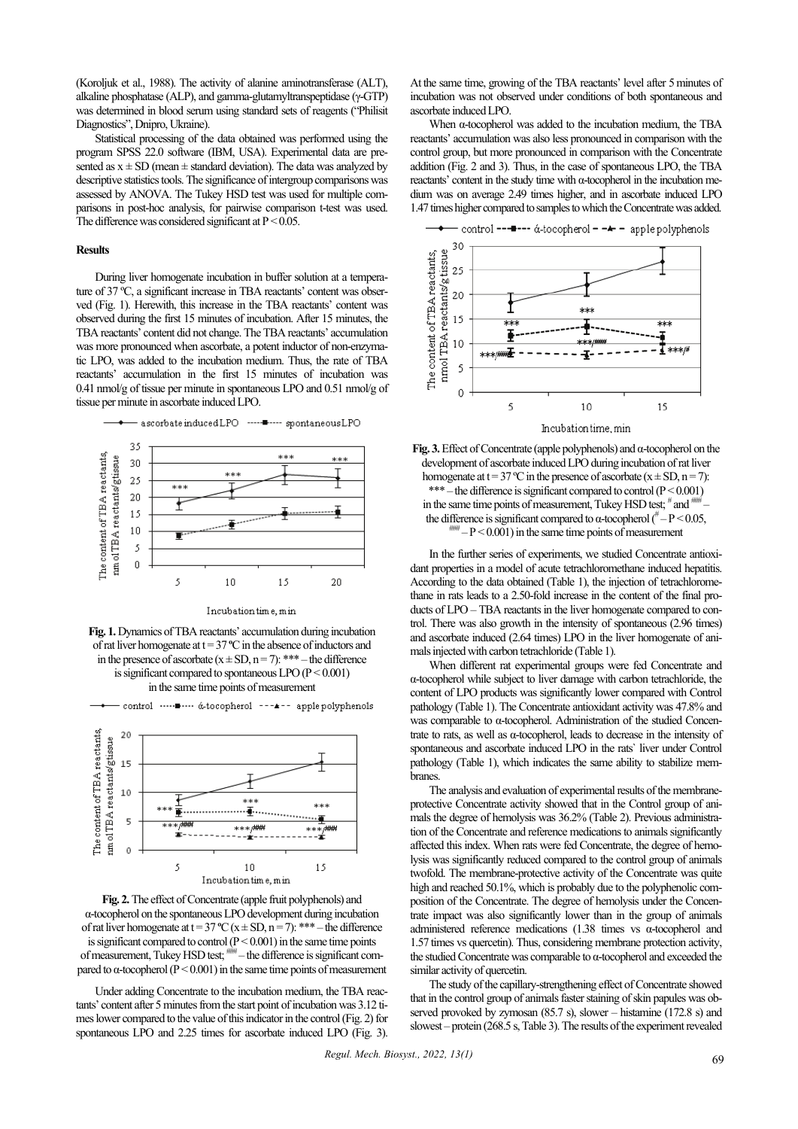(Koroljuk et al., 1988). The activity of alanine aminotransferase (ALT), alkaline phosphatase (ALP), and gamma-glutamyltranspeptidase (γ-GTP) was determined in blood serum using standard sets of reagents ("Philisit Diagnostics", Dnipro, Ukraine).

Statistical processing of the data obtained was performed using the program SPSS 22.0 software (IBM, USA). Experimental data are presented as  $x \pm SD$  (mean  $\pm$  standard deviation). The data was analyzed by descriptive statistics tools. The significance of intergroup comparisons was assessed by ANOVA. The Tukey HSD test was used for multiple comparisons in post-hoc analysis, for pairwise comparison t-test was used. The difference was considered significant at  $P < 0.05$ .

# **Results**

During liver homogenate incubation in buffer solution at a temperature of 37 ºC, a significant increase in TBA reactants' content was observed (Fig. 1). Herewith, this increase in the TBA reactants' content was observed during the first 15 minutes of incubation. After 15 minutes, the TBA reactants' content did not change. The TBA reactants' accumulation was more pronounced when ascorbate, a potent inductor of non-enzymatic LPO, was added to the incubation medium. Thus, the rate of TBA reactants' accumulation in the first 15 minutes of incubation was 0.41 nmol/g of tissue per minute in spontaneous LPO and 0.51 nmol/g of tissue per minute in ascorbate induced LPO.



Incubation time, min







**Fig. 2.**The effect of Concentrate (apple fruit polyphenols) and α-tocopherol on the spontaneous LPO development during incubation of rat liver homogenate at  $t = 37 \text{ °C}$  ( $x \pm SD$ ,  $n = 7$ ): \*\*\* – the difference is significant compared to control  $(P < 0.001)$  in the same time points of measurement, Tukey HSD test;  $\frac{1}{100}$  – the difference is significant compared to α-tocopherol ( $P < 0.001$ ) in the same time points of measurement

Under adding Concentrate to the incubation medium, the TBA reactants' content after 5 minutes from the start point of incubation was 3.12 times lower compared to the value of this indicator in the control (Fig. 2) for spontaneous LPO and 2.25 times for ascorbate induced LPO (Fig. 3). At the same time, growing of the TBA reactants' level after 5minutes of incubation was not observed under conditions of both spontaneous and ascorbate induced LPO.

When α-tocopherol was added to the incubation medium, the TBA reactants' accumulation was also less pronounced in comparison with the control group, but more pronounced in comparison with the Concentrate addition (Fig. 2 and 3). Thus, in the case of spontaneous LPO, the TBA reactants' content in the study time with α-tocopherol in the incubation medium was on average 2.49 times higher, and in ascorbate induced LPO 1.47 times higher compared to samples to which the Concentrate was added.



**Fig. 3.**Effect of Concentrate (apple polyphenols) and α-tocopherol on the development of ascorbate induced LPO during incubation of rat liver homogenate at  $t = 37$  °C in the presence of ascorbate  $(x \pm SD, n = 7)$ : \*\*\* – the difference is significant compared to control  $(P < 0.001)$ in the same time points of measurement, Tukey HSD test;  $*$  and  $*$ the difference is significant compared to  $\alpha$ -tocopherol ( $^{\#}$  – P < 0.05,  $^{\#}$  – P < 0.001) in the same time points of measurement

In the further series of experiments, we studied Concentrate antioxidant properties in a model of acute tetrachloromethane induced hepatitis. According to the data obtained (Table 1), the injection of tetrachloromethane in rats leads to a 2.50-fold increase in the content of the final products of LPO – TBA reactants in the liver homogenate compared to control. There was also growth in the intensity of spontaneous (2.96 times) and ascorbate induced (2.64 times) LPO in the liver homogenate of animals injected with carbon tetrachloride (Table 1).

When different rat experimental groups were fed Concentrate and α-tocopherol while subject to liver damage with carbon tetrachloride, the content of LPO products was significantly lower compared with Control pathology (Table 1). The Concentrate antioxidant activity was 47.8% and was comparable to α-tocopherol. Administration of the studied Concentrate to rats, as well as α-tocopherol, leads to decrease in the intensity of spontaneous and ascorbate induced LPO in the rats` liver under Control pathology (Table 1), which indicates the same ability to stabilize membranes.

The analysis and evaluation of experimental results of the membraneprotective Concentrate activity showed that in the Control group of animals the degree of hemolysis was 36.2% (Table 2). Previous administration of the Concentrate and reference medications to animals significantly affected this index. When rats were fed Concentrate, the degree of hemolysis was significantly reduced compared to the control group of animals twofold. The membrane-protective activity of the Concentrate was quite high and reached 50.1%, which is probably due to the polyphenolic composition of the Concentrate. The degree of hemolysis under the Concentrate impact was also significantly lower than in the group of animals administered reference medications (1.38 times vs α-tocopherol and 1.57 times vs quercetin). Thus, considering membrane protection activity, the studied Concentrate was comparable to α-tocopherol and exceeded the similar activity of quercetin.

The study of the capillary-strengthening effect of Concentrate showed that in the control group of animals faster staining of skin papules was observed provoked by zymosan (85.7 s), slower – histamine (172.8 s) and slowest – protein (268.5 s, Table 3). The results of the experiment revealed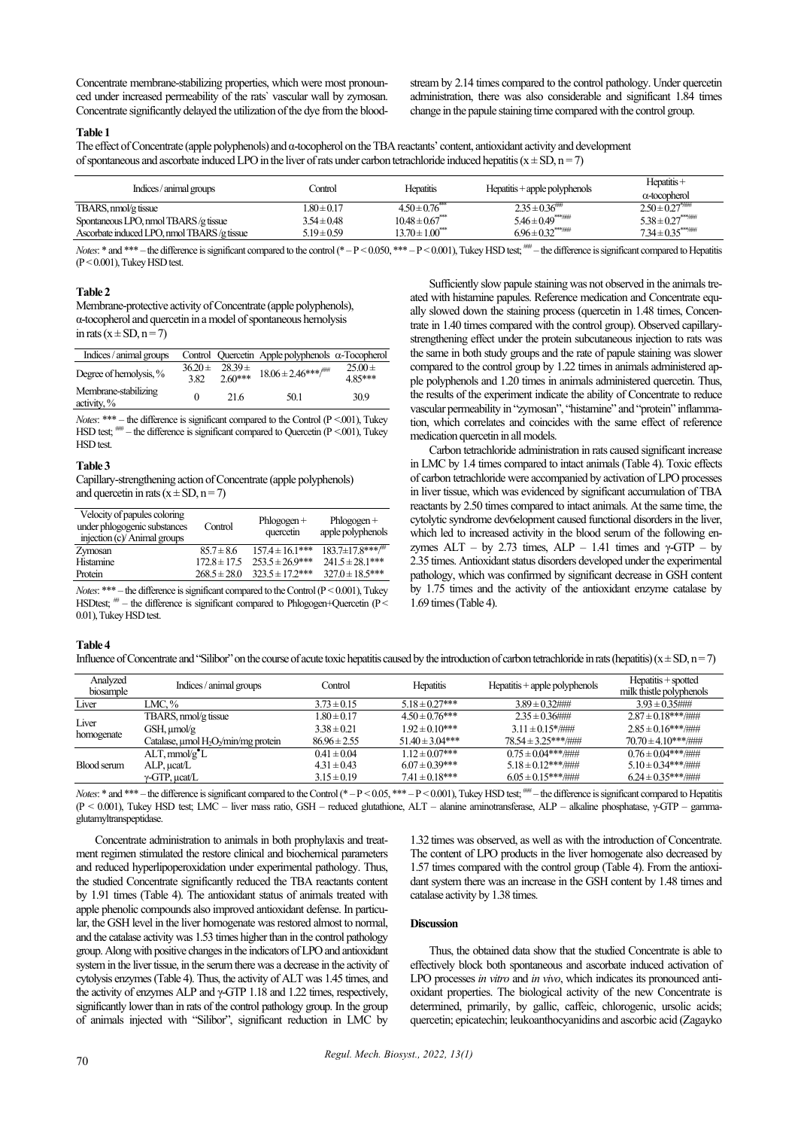Concentrate membrane-stabilizing properties, which were most pronounced under increased permeability of the rats` vascular wall by zymosan. Concentrate significantly delayed the utilization of the dye from the bloodstream by 2.14 times compared to the control pathology. Under quercetin administration, there was also considerable and significant 1.84 times change in the papule staining time compared with the control group.

# **Table 1**

The effect of Concentrate (apple polyphenols) and α-tocopherol on the TBA reactants' content, antioxidant activity and development of spontaneous and ascorbate induced LPO in the liver of rats under carbon tetrachloride induced hepatitis ( $x \pm SD$ ,  $n = 7$ )

| Indices/animal groups                       | Control         | <b>Hepatitis</b>                | $H$ epatitis + apple polyphenols | $H$ epatitis +<br>$\alpha$ -tocopherol |
|---------------------------------------------|-----------------|---------------------------------|----------------------------------|----------------------------------------|
| TBARS, nmol/g tissue                        | $.80 \pm 0.17$  | $4.50 \pm 0.76$                 | $2.35 \pm 0.36$                  | $2.50\pm0.27$ <sup>*/////</sup>        |
| Spontaneous LPO, nmol TBARS /g tissue       | $3.54 \pm 0.48$ | $10.48 \pm 0.67$ <sup>***</sup> |                                  | $5.38 \pm 0.27$                        |
| Ascorbate induced LPO, nmol TBARS /g tissue | $5.19 \pm 0.59$ | $13.70 \pm 1.00$ <sup>***</sup> |                                  |                                        |

*Notes*: \* and \*\*\* – the difference is significant compared to the control (\* – P < 0.050, \*\*\* – P < 0.001), Tukey HSD test;  $\frac{1}{100}$  the difference is significant compared to Hepatitis  $(P < 0.001)$ , Tukey HSD test.

#### **Table 2**

Membrane-protective activity of Concentrate (apple polyphenols), α-tocopherol and quercetin in a model of spontaneous hemolysis in rats  $(x \pm SD, n = 7)$ 

| Indices / animal groups                |                     |                         | Control Quercetin Apple polyphenols $\alpha$ -Tocopherol |                       |
|----------------------------------------|---------------------|-------------------------|----------------------------------------------------------|-----------------------|
| Degree of hemolysis, %                 | $36.20 \pm$<br>3.82 | $28.39 \pm$<br>$260***$ | $18.06 \pm 2.46$ ***/***                                 | $25.00 \pm$<br>485*** |
| Membrane-stabilizing<br>activity, $\%$ |                     | 21.6                    | 50.1                                                     | 30.9                  |

*Notes*: \*\*\* – the difference is significant compared to the Control ( $P < 001$ ), Tukey HSD test;  $\frac{1}{100}$  – the difference is significant compared to Quercetin (P <.001), Tukey HSD test.

#### **Table 3**

Capillary-strengthening action of Concentrate (apple polyphenols) and quercetin in rats  $(x \pm SD, n = 7)$ 

| Velocity of papules coloring<br>under phlogogenic substances<br>injection (c)/ Animal groups | Control          | $Phlogogen +$<br>quercetin | $Phlogogen +$<br>apple polyphenols |
|----------------------------------------------------------------------------------------------|------------------|----------------------------|------------------------------------|
| Zymosan                                                                                      | $85.7 \pm 8.6$   | $157.4 \pm 16.1***$        | $183.7\pm 17.8***$                 |
| Histamine                                                                                    | $172.8 \pm 17.5$ | $253.5 \pm 26.9$ ***       | $241.5 \pm 28.1***$                |
| Protein                                                                                      | $268.5 \pm 28.0$ | $323.5 \pm 17.2$ ***       | $327.0 \pm 18.5$ ***               |

*Notes*: \*\*\* – the difference is significant compared to the Control ( $P < 0.001$ ), Tukey HSDtest;  $^{\#}$  – the difference is significant compared to Phlogogen+Quercetin (P < 0.01), Tukey HSD test.

# Sufficiently slow papule staining was not observed in the animals treated with histamine papules. Reference medication and Concentrate equally slowed down the staining process (quercetin in 1.48 times, Concentrate in 1.40 times compared with the control group). Observed capillarystrengthening effect under the protein subcutaneous injection to rats was the same in both study groups and the rate of papule staining was slower compared to the control group by 1.22 times in animals administered apple polyphenols and 1.20 times in animals administered quercetin. Thus, the results of the experiment indicate the ability of Concentrate to reduce vascular permeability in "zymosan", "histamine" and "protein" inflammation, which correlates and coincides with the same effect of reference medication quercetin in all models.

Carbon tetrachloride administration in rats caused significant increase in LMC by 1.4 times compared to intact animals (Table 4). Toxic effects of carbon tetrachloride were accompanied by activation of LPO processes in liver tissue, which was evidenced by significant accumulation of TBA reactants by 2.50 times compared to intact animals. At the same time, the cytolytic syndrome dev6elopment caused functional disorders in the liver, which led to increased activity in the blood serum of the following enzymes ALT – by 2.73 times, ALP – 1.41 times and  $\gamma$ -GTP – by 2.35 times. Antioxidant status disorders developed under the experimental pathology, which was confirmed by significant decrease in GSH content by 1.75 times and the activity of the antioxidant enzyme catalase by 1.69 times (Table 4).

# **Table 4**

Influence of Concentrate and "Silibor" on the course of acute toxic hepatitis caused by the introduction of carbon tetrachloride in rats (hepatitis) ( $x \pm SD$ ,  $n = 7$ )

| Analyzed<br>biosample | Indices / animal groups                                      | Control          | <b>Hepatitis</b>    | $He$ Hepatitis + apple polyphenols | $He$ patitis + spotted<br>milk thistle polyphenols |
|-----------------------|--------------------------------------------------------------|------------------|---------------------|------------------------------------|----------------------------------------------------|
| Liver                 | LMC. $%$                                                     | $3.73 \pm 0.15$  | $5.18 \pm 0.27***$  | $3.89 \pm 0.32$ ###                | $3.93 \pm 0.35$ ###                                |
| Liver<br>homogenate   | TBARS, nmol/g tissue                                         | $1.80 \pm 0.17$  | $4.50 \pm 0.76$ *** | $2.35 \pm 0.36$ ###                | $2.87 \pm 0.18***$                                 |
|                       | GSH, umol/g                                                  | $3.38 \pm 0.21$  | $1.92 \pm 0.10***$  | $3.11 \pm 0.15$ */###              | $2.85 \pm 0.16$ ***/###                            |
|                       | Catalase, umol H <sub>2</sub> O <sub>2</sub> /min/mg protein | $86.96 \pm 2.55$ | $51.40 \pm 3.04***$ | $78.54 \pm 3.25***$                | $70.70 \pm 4.10***$                                |
| Blood serum           | $ALT$ , mmol/g $^{\bullet}L$                                 | $0.41 \pm 0.04$  | $1.12 \pm 0.07$ *** | $0.75 \pm 0.04$ ***/###            | $0.76 \pm 0.04***$                                 |
|                       | $ALP$ , $\mu$ cat/ $L$                                       | $4.31 \pm 0.43$  | $6.07 \pm 0.39***$  | $5.18 \pm 0.12$ ***/###            | $5.10 \pm 0.34$ ***/###                            |
|                       | $\gamma$ -GTP, $\mu$ cat/L                                   | $3.15 \pm 0.19$  | $7.41 \pm 0.18***$  | $6.05 \pm 0.15***$                 | $6.24 \pm 0.35$ ***/###                            |

*Notes*: \* and \*\*\* – the difference is significant compared to the Control (\* – P < 0.05, \*\*\* – P < 0.001), Tukey HSD test; <sup>###</sup> – the difference is significant compared to Hepatitis (P < 0.001), Tukey HSD test; LMC – liver mass ratio, GSH – reduced glutathione, ALT – alanine aminotransferase, ALP – alkaline phosphatase, γ-GTP – gammaglutamyltranspeptidase.

Concentrate administration to animals in both prophylaxis and treatment regimen stimulated the restore clinical and biochemical parameters and reduced hyperlipoperoxidation under experimental pathology. Thus, the studied Concentrate significantly reduced the TBA reactants content by 1.91 times (Table 4). The antioxidant status of animals treated with apple phenolic compounds also improved antioxidant defense. In particular, the GSH level in the liver homogenate was restored almost to normal, and the catalase activity was 1.53 times higher than in the control pathology group. Along with positive changes in the indicators of LPO and antioxidant system in the liver tissue, in the serum there was a decrease in the activity of cytolysis enzymes (Table 4). Thus, the activity of ALT was 1.45 times, and the activity of enzymes ALP and  $\gamma$ -GTP 1.18 and 1.22 times, respectively, significantly lower than in rats of the control pathology group. In the group of animals injected with "Silibor", significant reduction in LMC by

1.32 times was observed, as well as with the introduction of Concentrate. The content of LPO products in the liver homogenate also decreased by 1.57 times compared with the control group (Table 4). From the antioxidant system there was an increase in the GSH content by 1.48 times and catalase activity by 1.38 times.

# **Discussion**

Thus, the obtained data show that the studied Concentrate is able to effectively block both spontaneous and ascorbate induced activation of LPO processes *in vitro* and *in vivo*, which indicates its pronounced antioxidant properties. The biological activity of the new Concentrate is determined, primarily, by gallic, caffeic, chlorogenic, ursolic acids; quercetin; epicatechin; leukoanthocyanidins and ascorbic acid (Zagayko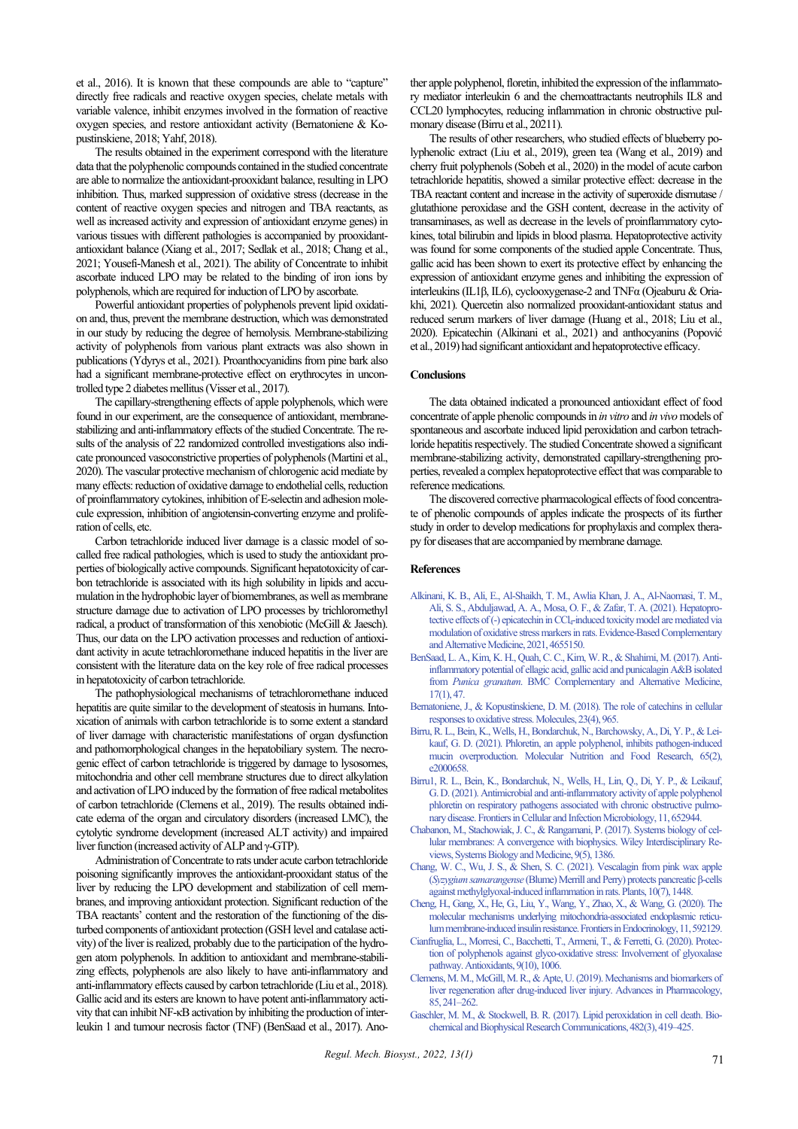et al., 2016). It is known that these compounds are able to "capture" directly free radicals and reactive oxygen species, chelate metals with variable valence, inhibit enzymes involved in the formation of reactive oxygen species, and restore antioxidant activity (Bernatoniene & Kopustinskiene, 2018; Yahf, 2018).

The results obtained in the experiment correspond with the literature data that the polyphenolic compounds contained in the studied concentrate are able to normalize the antioxidant-prooxidant balance, resulting in LPO inhibition. Thus, marked suppression of oxidative stress (decrease in the content of reactive oxygen species and nitrogen and TBA reactants, as well as increased activity and expression of antioxidant enzyme genes) in various tissues with different pathologies is accompanied by prooxidantantioxidant balance (Xiang et al., 2017; Sedlak et al., 2018; Chang et al., 2021; Yousefi-Manesh et al., 2021). The ability of Concentrate to inhibit ascorbate induced LPO may be related to the binding of iron ions by polyphenols, which are required for induction of LPO by ascorbate.

Powerful antioxidant properties of polyphenols prevent lipid oxidation and, thus, prevent the membrane destruction, which was demonstrated in our study by reducing the degree of hemolysis. Membrane-stabilizing activity of polyphenols from various plant extracts was also shown in publications (Ydyrys et al., 2021). Proanthocyanidins from pine bark also had a significant membrane-protective effect on erythrocytes in uncontrolled type 2 diabetes mellitus (Visser et al., 2017).

The capillary-strengthening effects of apple polyphenols, which were found in our experiment, are the consequence of antioxidant, membranestabilizing and anti-inflammatory effects of the studied Concentrate. The results of the analysis of 22 randomized controlled investigations also indicate pronounced vasoconstrictive properties of polyphenols (Martini et al., 2020). The vascular protective mechanism of chlorogenic acid mediate by many effects: reduction of oxidative damage to endothelial cells, reduction of proinflammatory cytokines, inhibition of E-selectin and adhesion molecule expression, inhibition of angiotensin-converting enzyme and proliferation of cells, etc.

Carbon tetrachloride induced liver damage is a classic model of socalled free radical pathologies, which is used to study the antioxidant properties of biologically active compounds. Significant hepatotoxicity of carbon tetrachloride is associated with its high solubility in lipids and accumulation in the hydrophobic layer of biomembranes, as well as membrane structure damage due to activation of LPO processes by trichloromethyl radical, a product of transformation of this xenobiotic (McGill & Jaesch). Thus, our data on the LPO activation processes and reduction of antioxidant activity in acute tetrachloromethane induced hepatitis in the liver are consistent with the literature data on the key role of free radical processes in hepatotoxicity of carbon tetrachloride.

The pathophysiological mechanisms of tetrachloromethane induced hepatitis are quite similar to the development of steatosis in humans. Intoxication of animals with carbon tetrachloride is to some extent a standard of liver damage with characteristic manifestations of organ dysfunction and pathomorphological changes in the hepatobiliary system. The necrogenic effect of carbon tetrachloride is triggered by damage to lysosomes, mitochondria and other cell membrane structures due to direct alkylation and activation of LPO induced by the formation of free radical metabolites of carbon tetrachloride (Clemens et al., 2019). The results obtained indicate edema of the organ and circulatory disorders (increased LMC), the cytolytic syndrome development (increased ALT activity) and impaired liver function (increased activity of ALP and γ-GTP).

Administration of Concentrate to rats under acute carbon tetrachloride poisoning significantly improves the antioxidant-prooxidant status of the liver by reducing the LPO development and stabilization of cell membranes, and improving antioxidant protection. Significant reduction of the TBA reactants' content and the restoration of the functioning of the disturbed components of antioxidant protection (GSH level and catalase activity) of the liver is realized, probably due to the participation of the hydrogen atom polyphenols. In addition to antioxidant and membrane-stabilizing effects, polyphenols are also likely to have anti-inflammatory and anti-inflammatory effects caused by carbon tetrachloride (Liu et al., 2018). Gallic acid and its esters are known to have potent anti-inflammatory activity that can inhibit NF-κB activation by inhibiting the production of interleukin 1 and tumour necrosis factor (TNF) (BenSaad et al., 2017). Another apple polyphenol, floretin, inhibited the expression of the inflammatory mediator interleukin 6 and the chemoattractants neutrophils IL8 and CCL20 lymphocytes, reducing inflammation in chronic obstructive pulmonary disease (Birru et al., 20211).

The results of other researchers, who studied effects of blueberry polyphenolic extract (Liu et al., 2019), green tea (Wang et al., 2019) and cherry fruit polyphenols (Sobeh et al., 2020) in the model of acute carbon tetrachloride hepatitis, showed a similar protective effect: decrease in the TBA reactant content and increase in the activity of superoxide dismutase / glutathione peroxidase and the GSH content, decrease in the activity of transaminases, as well as decrease in the levels of proinflammatory cytokines, total bilirubin and lipids in blood plasma. Hepatoprotective activity was found for some components of the studied apple Concentrate. Thus, gallic acid has been shown to exert its protective effect by enhancing the expression of antioxidant enzyme genes and inhibiting the expression of interleukins (IL1β, IL6), cyclooxygenase-2 and TNFα (Ojeaburu & Oriakhi, 2021). Quercetin also normalized prooxidant-antioxidant status and reduced serum markers of liver damage (Huang et al., 2018; Liu et al., 2020). Epicatechin (Alkinani et al., 2021) and anthocyanins (Popović et al., 2019) had significant antioxidant and hepatoprotective efficacy.

# **Conclusions**

The data obtained indicated a pronounced antioxidant effect of food concentrate of apple phenolic compounds in *in vitro* and *in vivo*models of spontaneous and ascorbate induced lipid peroxidation and carbon tetrachloride hepatitis respectively. The studied Concentrate showed a significant membrane-stabilizing activity, demonstrated capillary-strengthening properties, revealed a complex hepatoprotective effect that was comparable to reference medications.

The discovered corrective pharmacological effects of food concentrate of phenolic compounds of apples indicate the prospects of its further study in order to develop medications for prophylaxis and complex therapy for diseases that are accompanied by membrane damage.

#### **References**

- [Alkinani, K. B., Ali, E., Al-Shaikh, T. M., Awlia Khan, J. A., Al-Naomasi, T. M.,](http://doi.org/10.1155/2021/4655150)  [Ali, S. S., Abduljawad, A. A., Mosa, O. F., & Zafar,](http://doi.org/10.1155/2021/4655150) T. A. (2021). Hepatoprotective effects of (-) epicatechin in CCl<sub>4</sub>-induced toxicity model are mediated via [modulation of oxidative stress markers in rats. Evidence-Based Complementary](http://doi.org/10.1155/2021/4655150)  [and Alternative Medicine, 2021, 4655150.](http://doi.org/10.1155/2021/4655150)
- [BenSaad, L. A., Kim, K. H., Quah, C. C., Kim, W. R., & Shahimi, M. \(2017\). Anti](http://doi.org/10.1186/s12906-017-1555-0)[inflammatory potential of ellagic acid, gallic acid and punicalagin A&B isolated](http://doi.org/10.1186/s12906-017-1555-0)  from *Punica granatum*. BMC Complementary and Alternative Medicine, [17\(1\), 47.](http://doi.org/10.1186/s12906-017-1555-0)
- [Bernatoniene, J., & Kopustinskiene, D. M. \(2018\). The role of catechins in cellular](http://doi.org/10.3390/molecules23040965)  [responses to oxidative stress. Molecules, 23\(4\), 965.](http://doi.org/10.3390/molecules23040965)
- [Birru, R. L., Bein, K., Wells, H., Bondarchuk, N., Barchowsky, A., Di, Y. P., & Lei](http://doi.org/10.1002/mnfr.202000658)[kauf, G. D. \(2021\). Phloretin, an apple polyphenol, inhibits pathogen-induced](http://doi.org/10.1002/mnfr.202000658)  [mucin overproduction. Molecular Nutrition and Food Research, 65\(2\),](http://doi.org/10.1002/mnfr.202000658)  [e2000658.](http://doi.org/10.1002/mnfr.202000658)
- [Birru1, R. L., Bein, K., Bondarchuk, N., Wells, H., Lin, Q., Di, Y. P., & Leikauf,](http://doi.org/10.3389/fcimb.2021.652944)  [G.D. \(2021\). Antimicrobial and anti-inflammatory activity of apple polyphenol](http://doi.org/10.3389/fcimb.2021.652944)  [phloretin on respiratory pathogens associated with chronic obstructive pulmo](http://doi.org/10.3389/fcimb.2021.652944)[nary disease. Frontiers in Cellular and Infection Microbiology, 11, 652944.](http://doi.org/10.3389/fcimb.2021.652944)
- [Chabanon, M., Stachowiak, J. C., & Rangamani, P. \(2017\). Systems biology of cel](http://doi.org/10.1002/wsbm.1386)[lular membranes: A convergence with biophysics. Wiley Interdisciplinary Re](http://doi.org/10.1002/wsbm.1386)[views, Systems Biology and Medicine, 9\(5\), 1386.](http://doi.org/10.1002/wsbm.1386)
- [Chang, W. C., Wu, J. S., & Shen, S. C. \(2021\). Vescalagin from pink wax apple](http://doi.org/10.3390/plants10071448)  (*Syzygium samarangense* (Blume) Mer[rill and Perry\) protects pancreatic β](http://doi.org/10.3390/plants10071448)-cells [against methylglyoxal-induced inflammation in rats. Plants, 10\(7\), 1448.](http://doi.org/10.3390/plants10071448)
- [Cheng, H., Gang, X., He, G., Liu, Y., Wang, Y., Zhao, X., & Wang, G. \(2020\). The](http://doi.org/10.3389/fendo.2020.592129)  [molecular mechanisms underlying mitochondria-associated endoplasmic reticu](http://doi.org/10.3389/fendo.2020.592129)[lum membrane-induced insulin resistance. Frontiers in Endocrinology, 11, 592129.](http://doi.org/10.3389/fendo.2020.592129)
- [Cianfruglia, L., Morresi, C., Bacchetti, T., Armeni, T., & Ferretti, G. \(2020\). Protec](http://doi.org/10.3390/antiox9101006)[tion of polyphenols against glyco-oxidative stress: Involvement of glyoxalase](http://doi.org/10.3390/antiox9101006)  [pathway. Antioxidants, 9\(10\), 1006.](http://doi.org/10.3390/antiox9101006)
- Clemens, M. M., McGill, M. R., & Apte, U. (2019). Mechanisms and biomarkers of [liver regeneration after drug-induced liver injury. Advances in Pharmacology,](http://doi.org/10.1016/bs.apha.2019.03.001)  [85, 241–262.](http://doi.org/10.1016/bs.apha.2019.03.001)
- [Gaschler, M. M., & Stockwell, B. R. \(2017\). Lipid peroxidation in cell death. Bio](http://doi.org/10.1016/j.bbrc.2016.10.086)[chemical and Biophysical Research Communications, 482\(3\), 419–425.](http://doi.org/10.1016/j.bbrc.2016.10.086)